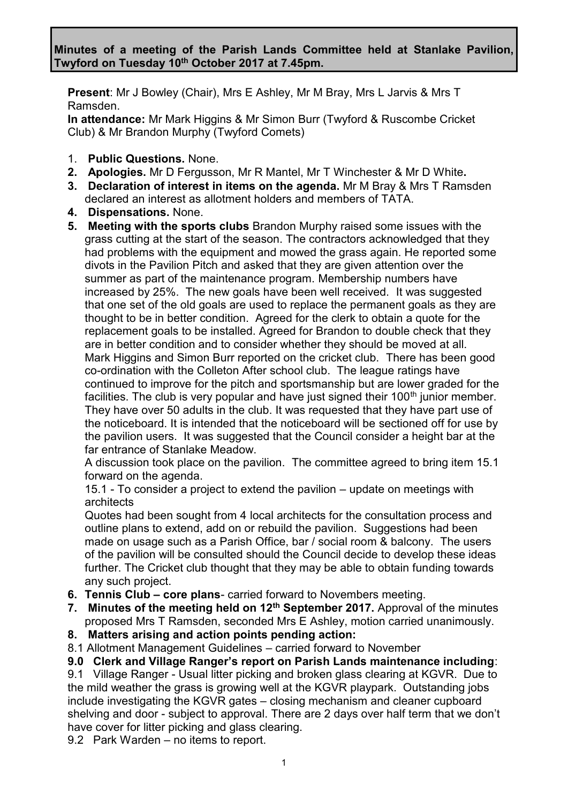**Present**: Mr J Bowley (Chair), Mrs E Ashley, Mr M Bray, Mrs L Jarvis & Mrs T Ramsden.

**In attendance:** Mr Mark Higgins & Mr Simon Burr (Twyford & Ruscombe Cricket Club) & Mr Brandon Murphy (Twyford Comets)

- 1. **Public Questions.** None.
- **2. Apologies.** Mr D Fergusson, Mr R Mantel, Mr T Winchester & Mr D White**.**
- **3. Declaration of interest in items on the agenda.** Mr M Bray & Mrs T Ramsden declared an interest as allotment holders and members of TATA.
- **4. Dispensations.** None.
- **5. Meeting with the sports clubs** Brandon Murphy raised some issues with the grass cutting at the start of the season. The contractors acknowledged that they had problems with the equipment and mowed the grass again. He reported some divots in the Pavilion Pitch and asked that they are given attention over the summer as part of the maintenance program. Membership numbers have increased by 25%. The new goals have been well received. It was suggested that one set of the old goals are used to replace the permanent goals as they are thought to be in better condition. Agreed for the clerk to obtain a quote for the replacement goals to be installed. Agreed for Brandon to double check that they are in better condition and to consider whether they should be moved at all. Mark Higgins and Simon Burr reported on the cricket club. There has been good co-ordination with the Colleton After school club. The league ratings have continued to improve for the pitch and sportsmanship but are lower graded for the facilities. The club is very popular and have just signed their  $100<sup>th</sup>$  junior member. They have over 50 adults in the club. It was requested that they have part use of the noticeboard. It is intended that the noticeboard will be sectioned off for use by the pavilion users. It was suggested that the Council consider a height bar at the far entrance of Stanlake Meadow.

A discussion took place on the pavilion. The committee agreed to bring item 15.1 forward on the agenda.

15.1 - To consider a project to extend the pavilion – update on meetings with architects

Quotes had been sought from 4 local architects for the consultation process and outline plans to extend, add on or rebuild the pavilion. Suggestions had been made on usage such as a Parish Office, bar / social room & balcony. The users of the pavilion will be consulted should the Council decide to develop these ideas further. The Cricket club thought that they may be able to obtain funding towards any such project.

- **6. Tennis Club – core plans** carried forward to Novembers meeting.
- **7. Minutes of the meeting held on 12th September 2017.** Approval of the minutes proposed Mrs T Ramsden, seconded Mrs E Ashley, motion carried unanimously.
- **8. Matters arising and action points pending action:**
- 8.1 Allotment Management Guidelines carried forward to November

**9.0 Clerk and Village Ranger's report on Parish Lands maintenance including**:

9.1 Village Ranger - Usual litter picking and broken glass clearing at KGVR. Due to the mild weather the grass is growing well at the KGVR playpark. Outstanding jobs include investigating the KGVR gates – closing mechanism and cleaner cupboard shelving and door - subject to approval. There are 2 days over half term that we don't have cover for litter picking and glass clearing.

9.2 Park Warden – no items to report.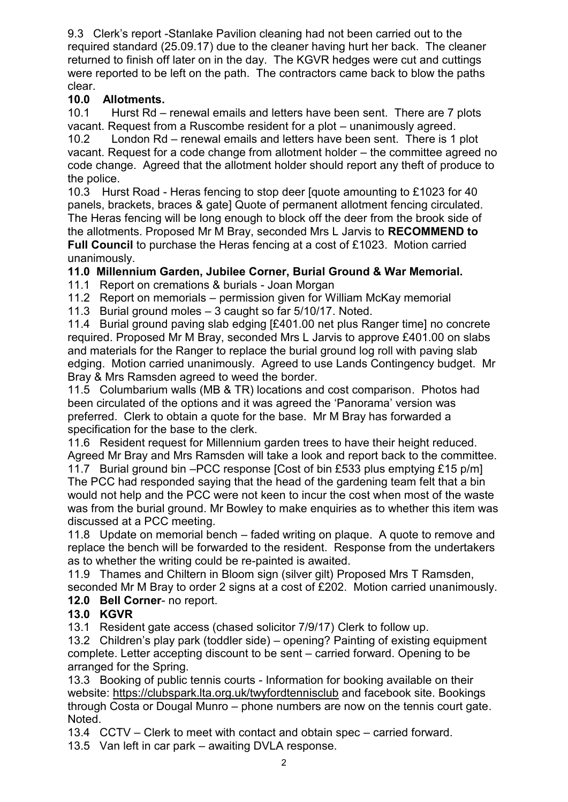9.3 Clerk's report -Stanlake Pavilion cleaning had not been carried out to the required standard (25.09.17) due to the cleaner having hurt her back. The cleaner returned to finish off later on in the day. The KGVR hedges were cut and cuttings were reported to be left on the path. The contractors came back to blow the paths clear.

# **10.0 Allotments.**

10.1 Hurst Rd – renewal emails and letters have been sent. There are 7 plots vacant. Request from a Ruscombe resident for a plot – unanimously agreed.

10.2 London Rd – renewal emails and letters have been sent. There is 1 plot vacant. Request for a code change from allotment holder – the committee agreed no code change. Agreed that the allotment holder should report any theft of produce to the police.

10.3 Hurst Road - Heras fencing to stop deer [quote amounting to £1023 for 40 panels, brackets, braces & gate] Quote of permanent allotment fencing circulated. The Heras fencing will be long enough to block off the deer from the brook side of the allotments. Proposed Mr M Bray, seconded Mrs L Jarvis to **RECOMMEND to Full Council** to purchase the Heras fencing at a cost of £1023. Motion carried unanimously.

# **11.0 Millennium Garden, Jubilee Corner, Burial Ground & War Memorial.**

11.1 Report on cremations & burials - Joan Morgan

11.2 Report on memorials – permission given for William McKay memorial

11.3 Burial ground moles – 3 caught so far 5/10/17. Noted.

11.4 Burial ground paving slab edging [£401.00 net plus Ranger time] no concrete required. Proposed Mr M Bray, seconded Mrs L Jarvis to approve £401.00 on slabs and materials for the Ranger to replace the burial ground log roll with paving slab edging. Motion carried unanimously. Agreed to use Lands Contingency budget. Mr Bray & Mrs Ramsden agreed to weed the border.

11.5 Columbarium walls (MB & TR) locations and cost comparison. Photos had been circulated of the options and it was agreed the 'Panorama' version was preferred. Clerk to obtain a quote for the base. Mr M Bray has forwarded a specification for the base to the clerk.

11.6 Resident request for Millennium garden trees to have their height reduced. Agreed Mr Bray and Mrs Ramsden will take a look and report back to the committee.

11.7 Burial ground bin –PCC response [Cost of bin £533 plus emptying £15 p/m] The PCC had responded saying that the head of the gardening team felt that a bin would not help and the PCC were not keen to incur the cost when most of the waste was from the burial ground. Mr Bowley to make enquiries as to whether this item was discussed at a PCC meeting.

11.8 Update on memorial bench – faded writing on plaque. A quote to remove and replace the bench will be forwarded to the resident. Response from the undertakers as to whether the writing could be re-painted is awaited.

11.9 Thames and Chiltern in Bloom sign (silver gilt) Proposed Mrs T Ramsden, seconded Mr M Bray to order 2 signs at a cost of £202. Motion carried unanimously. **12.0 Bell Corner**- no report.

### **13.0 KGVR**

13.1 Resident gate access (chased solicitor 7/9/17) Clerk to follow up.

13.2 Children's play park (toddler side) – opening? Painting of existing equipment complete. Letter accepting discount to be sent – carried forward. Opening to be arranged for the Spring.

13.3 Booking of public tennis courts - Information for booking available on their website:<https://clubspark.lta.org.uk/twyfordtennisclub> and facebook site. Bookings through Costa or Dougal Munro – phone numbers are now on the tennis court gate. Noted.

13.4 CCTV – Clerk to meet with contact and obtain spec – carried forward.

13.5 Van left in car park – awaiting DVLA response.